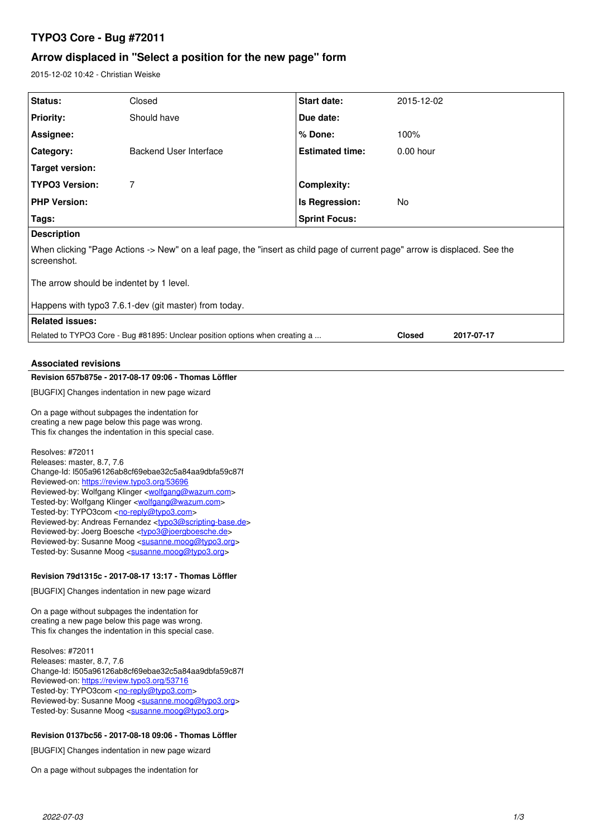# **TYPO3 Core - Bug #72011**

# **Arrow displaced in "Select a position for the new page" form**

2015-12-02 10:42 - Christian Weiske

| Status:                                                                                                                                                                                                                                                                                                                                                                                                                                                                                                                                                                                                                                                                                             | Closed                                                                                                                                                                                                                                                                      | Start date:            | 2015-12-02    |            |  |  |
|-----------------------------------------------------------------------------------------------------------------------------------------------------------------------------------------------------------------------------------------------------------------------------------------------------------------------------------------------------------------------------------------------------------------------------------------------------------------------------------------------------------------------------------------------------------------------------------------------------------------------------------------------------------------------------------------------------|-----------------------------------------------------------------------------------------------------------------------------------------------------------------------------------------------------------------------------------------------------------------------------|------------------------|---------------|------------|--|--|
| <b>Priority:</b>                                                                                                                                                                                                                                                                                                                                                                                                                                                                                                                                                                                                                                                                                    | Should have                                                                                                                                                                                                                                                                 | Due date:              |               |            |  |  |
| Assignee:                                                                                                                                                                                                                                                                                                                                                                                                                                                                                                                                                                                                                                                                                           |                                                                                                                                                                                                                                                                             | % Done:                | 100%          |            |  |  |
| Category:                                                                                                                                                                                                                                                                                                                                                                                                                                                                                                                                                                                                                                                                                           | <b>Backend User Interface</b>                                                                                                                                                                                                                                               | <b>Estimated time:</b> | 0.00 hour     |            |  |  |
| <b>Target version:</b>                                                                                                                                                                                                                                                                                                                                                                                                                                                                                                                                                                                                                                                                              |                                                                                                                                                                                                                                                                             |                        |               |            |  |  |
| <b>TYPO3 Version:</b>                                                                                                                                                                                                                                                                                                                                                                                                                                                                                                                                                                                                                                                                               | 7                                                                                                                                                                                                                                                                           | <b>Complexity:</b>     |               |            |  |  |
| <b>PHP Version:</b>                                                                                                                                                                                                                                                                                                                                                                                                                                                                                                                                                                                                                                                                                 |                                                                                                                                                                                                                                                                             | Is Regression:         | No            |            |  |  |
| Tags:                                                                                                                                                                                                                                                                                                                                                                                                                                                                                                                                                                                                                                                                                               |                                                                                                                                                                                                                                                                             | <b>Sprint Focus:</b>   |               |            |  |  |
| <b>Description</b>                                                                                                                                                                                                                                                                                                                                                                                                                                                                                                                                                                                                                                                                                  |                                                                                                                                                                                                                                                                             |                        |               |            |  |  |
| When clicking "Page Actions -> New" on a leaf page, the "insert as child page of current page" arrow is displaced. See the<br>screenshot.                                                                                                                                                                                                                                                                                                                                                                                                                                                                                                                                                           |                                                                                                                                                                                                                                                                             |                        |               |            |  |  |
| The arrow should be indentet by 1 level.                                                                                                                                                                                                                                                                                                                                                                                                                                                                                                                                                                                                                                                            |                                                                                                                                                                                                                                                                             |                        |               |            |  |  |
|                                                                                                                                                                                                                                                                                                                                                                                                                                                                                                                                                                                                                                                                                                     | Happens with typo3 7.6.1-dev (git master) from today.                                                                                                                                                                                                                       |                        |               |            |  |  |
| <b>Related issues:</b>                                                                                                                                                                                                                                                                                                                                                                                                                                                                                                                                                                                                                                                                              |                                                                                                                                                                                                                                                                             |                        |               |            |  |  |
|                                                                                                                                                                                                                                                                                                                                                                                                                                                                                                                                                                                                                                                                                                     | Related to TYPO3 Core - Bug #81895: Unclear position options when creating a                                                                                                                                                                                                |                        | <b>Closed</b> | 2017-07-17 |  |  |
|                                                                                                                                                                                                                                                                                                                                                                                                                                                                                                                                                                                                                                                                                                     |                                                                                                                                                                                                                                                                             |                        |               |            |  |  |
| <b>Associated revisions</b>                                                                                                                                                                                                                                                                                                                                                                                                                                                                                                                                                                                                                                                                         |                                                                                                                                                                                                                                                                             |                        |               |            |  |  |
| Revision 657b875e - 2017-08-17 09:06 - Thomas Löffler<br>[BUGFIX] Changes indentation in new page wizard                                                                                                                                                                                                                                                                                                                                                                                                                                                                                                                                                                                            |                                                                                                                                                                                                                                                                             |                        |               |            |  |  |
|                                                                                                                                                                                                                                                                                                                                                                                                                                                                                                                                                                                                                                                                                                     |                                                                                                                                                                                                                                                                             |                        |               |            |  |  |
| On a page without subpages the indentation for<br>creating a new page below this page was wrong.<br>This fix changes the indentation in this special case.                                                                                                                                                                                                                                                                                                                                                                                                                                                                                                                                          |                                                                                                                                                                                                                                                                             |                        |               |            |  |  |
| Resolves: #72011<br>Releases: master, 8.7, 7.6<br>Change-Id: I505a96126ab8cf69ebae32c5a84aa9dbfa59c87f<br>Reviewed-on: https://review.typo3.org/53696<br>Reviewed-by: Wolfgang Klinger < <b>wolfgang@wazum.com</b> ><br>Tested-by: Wolfgang Klinger <wolfgang@wazum.com><br/>Tested-by: TYPO3com <no-reply@typo3.com><br/>Reviewed-by: Andreas Fernandez <typo3@scripting-base.de><br/>Heviewed-by: Joerg Boesche <typo3@joergboesche.de><br/>Reviewed-by: Susanne Moog <susanne.moog@typo3.org><br/>Tested-by: Susanne Moog <susanne.moog@typo3.org></susanne.moog@typo3.org></susanne.moog@typo3.org></typo3@joergboesche.de></typo3@scripting-base.de></no-reply@typo3.com></wolfgang@wazum.com> |                                                                                                                                                                                                                                                                             |                        |               |            |  |  |
| Revision 79d1315c - 2017-08-17 13:17 - Thomas Löffler                                                                                                                                                                                                                                                                                                                                                                                                                                                                                                                                                                                                                                               |                                                                                                                                                                                                                                                                             |                        |               |            |  |  |
| [BUGFIX] Changes indentation in new page wizard                                                                                                                                                                                                                                                                                                                                                                                                                                                                                                                                                                                                                                                     |                                                                                                                                                                                                                                                                             |                        |               |            |  |  |
| On a page without subpages the indentation for<br>creating a new page below this page was wrong.<br>This fix changes the indentation in this special case.                                                                                                                                                                                                                                                                                                                                                                                                                                                                                                                                          |                                                                                                                                                                                                                                                                             |                        |               |            |  |  |
| Resolves: #72011<br>Releases: master, 8.7, 7.6<br>Reviewed-on: https://review.typo3.org/53716<br>Tested-by: TYPO3com <no-reply@typo3.com></no-reply@typo3.com>                                                                                                                                                                                                                                                                                                                                                                                                                                                                                                                                      | Change-Id: I505a96126ab8cf69ebae32c5a84aa9dbfa59c87f<br>Reviewed-by: Susanne Moog <susanne.moog@typo3.org><br/>Tested-by: Susanne Moog <susanne.moog@typo3.org><br/>Revision 0137bc56 - 2017-08-18 09:06 - Thomas Löffler</susanne.moog@typo3.org></susanne.moog@typo3.org> |                        |               |            |  |  |
|                                                                                                                                                                                                                                                                                                                                                                                                                                                                                                                                                                                                                                                                                                     |                                                                                                                                                                                                                                                                             |                        |               |            |  |  |

[BUGFIX] Changes indentation in new page wizard

On a page without subpages the indentation for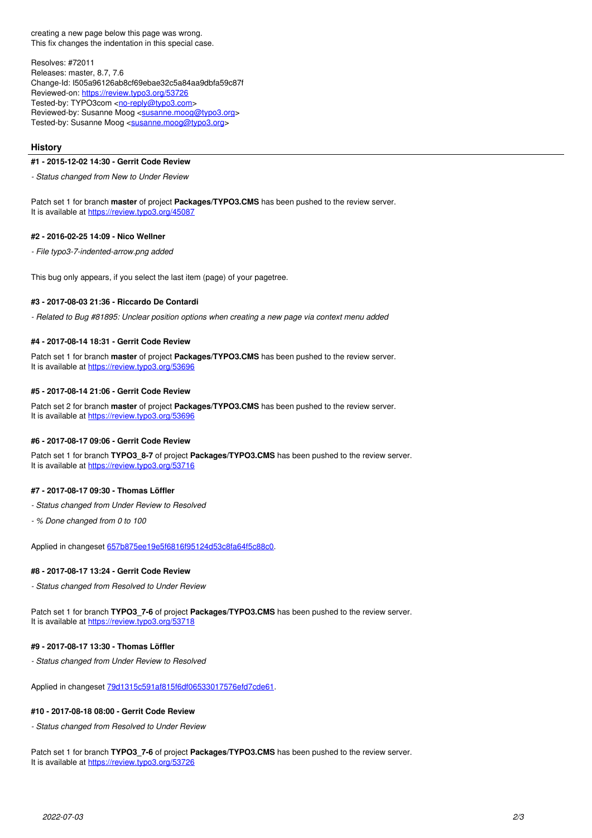creating a new page below this page was wrong. This fix changes the indentation in this special case.

Resolves: #72011 Releases: master, 8.7, 7.6 Change-Id: I505a96126ab8cf69ebae32c5a84aa9dbfa59c87f Reviewed-on:<https://review.typo3.org/53726> Tested-by: TYPO3com [<no-reply@typo3.com](mailto:no-reply@typo3.com)> Reviewed-by: Susanne Moog <[susanne.moog@typo3.org>](mailto:susanne.moog@typo3.org) Tested-by: Susanne Moog <[susanne.moog@typo3.org>](mailto:susanne.moog@typo3.org)

#### **History**

#### **#1 - 2015-12-02 14:30 - Gerrit Code Review**

*- Status changed from New to Under Review*

Patch set 1 for branch **master** of project **Packages/TYPO3.CMS** has been pushed to the review server. It is available at <https://review.typo3.org/45087>

#### **#2 - 2016-02-25 14:09 - Nico Wellner**

*- File typo3-7-indented-arrow.png added*

This bug only appears, if you select the last item (page) of your pagetree.

## **#3 - 2017-08-03 21:36 - Riccardo De Contardi**

*- Related to Bug #81895: Unclear position options when creating a new page via context menu added*

### **#4 - 2017-08-14 18:31 - Gerrit Code Review**

Patch set 1 for branch **master** of project **Packages/TYPO3.CMS** has been pushed to the review server. It is available at <https://review.typo3.org/53696>

#### **#5 - 2017-08-14 21:06 - Gerrit Code Review**

Patch set 2 for branch **master** of project **Packages/TYPO3.CMS** has been pushed to the review server. It is available at <https://review.typo3.org/53696>

#### **#6 - 2017-08-17 09:06 - Gerrit Code Review**

Patch set 1 for branch **TYPO3\_8-7** of project **Packages/TYPO3.CMS** has been pushed to the review server. It is available at <https://review.typo3.org/53716>

#### **#7 - 2017-08-17 09:30 - Thomas Löffler**

- *Status changed from Under Review to Resolved*
- *% Done changed from 0 to 100*

Applied in changeset [657b875ee19e5f6816f95124d53c8fa64f5c88c0](https://forge.typo3.org/projects/typo3cms-core/repository/1749/revisions/657b875ee19e5f6816f95124d53c8fa64f5c88c0).

### **#8 - 2017-08-17 13:24 - Gerrit Code Review**

*- Status changed from Resolved to Under Review*

Patch set 1 for branch **TYPO3 7-6** of project **Packages/TYPO3.CMS** has been pushed to the review server. It is available at <https://review.typo3.org/53718>

#### **#9 - 2017-08-17 13:30 - Thomas Löffler**

*- Status changed from Under Review to Resolved*

Applied in changeset [79d1315c591af815f6df06533017576efd7cde61.](https://forge.typo3.org/projects/typo3cms-core/repository/1749/revisions/79d1315c591af815f6df06533017576efd7cde61)

#### **#10 - 2017-08-18 08:00 - Gerrit Code Review**

*- Status changed from Resolved to Under Review*

Patch set 1 for branch **TYPO3\_7-6** of project **Packages/TYPO3.CMS** has been pushed to the review server. It is available at <https://review.typo3.org/53726>